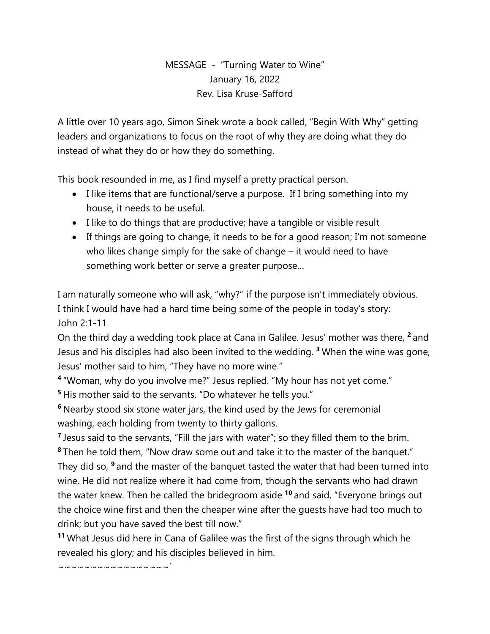## MESSAGE - "Turning Water to Wine" January 16, 2022 Rev. Lisa Kruse-Safford

A little over 10 years ago, Simon Sinek wrote a book called, "Begin With Why" getting leaders and organizations to focus on the root of why they are doing what they do instead of what they do or how they do something.

This book resounded in me, as I find myself a pretty practical person.

- I like items that are functional/serve a purpose. If I bring something into my house, it needs to be useful.
- I like to do things that are productive; have a tangible or visible result
- If things are going to change, it needs to be for a good reason; I'm not someone who likes change simply for the sake of change – it would need to have something work better or serve a greater purpose…

I am naturally someone who will ask, "why?" if the purpose isn't immediately obvious. I think I would have had a hard time being some of the people in today's story: John 2:1-11

On the third day a wedding took place at Cana in Galilee. Jesus' mother was there, **<sup>2</sup>** and Jesus and his disciples had also been invited to the wedding. **<sup>3</sup>** When the wine was gone, Jesus' mother said to him, "They have no more wine."

**4** "Woman, why do you involve me?" Jesus replied. "My hour has not yet come." **<sup>5</sup>** His mother said to the servants, "Do whatever he tells you."

**<sup>6</sup>** Nearby stood six stone water jars, the kind used by the Jews for ceremonial washing, each holding from twenty to thirty gallons.

<sup>7</sup> Jesus said to the servants, "Fill the jars with water"; so they filled them to the brim. **<sup>8</sup>** Then he told them, "Now draw some out and take it to the master of the banquet." They did so, **<sup>9</sup>** and the master of the banquet tasted the water that had been turned into wine. He did not realize where it had come from, though the servants who had drawn the water knew. Then he called the bridegroom aside **<sup>10</sup>** and said, "Everyone brings out the choice wine first and then the cheaper wine after the guests have had too much to drink; but you have saved the best till now."

**<sup>11</sup>** What Jesus did here in Cana of Galilee was the first of the signs through which he revealed his glory; and his disciples believed in him.

~~~~~~~~~~~~~~~<sup>`</sup>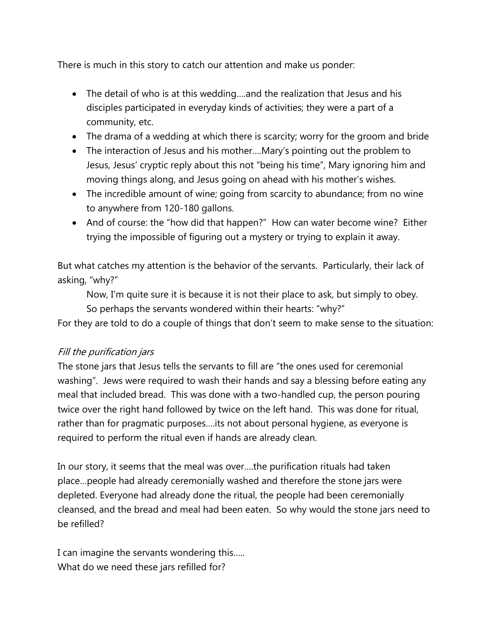There is much in this story to catch our attention and make us ponder:

- The detail of who is at this wedding….and the realization that Jesus and his disciples participated in everyday kinds of activities; they were a part of a community, etc.
- The drama of a wedding at which there is scarcity; worry for the groom and bride
- The interaction of Jesus and his mother….Mary's pointing out the problem to Jesus, Jesus' cryptic reply about this not "being his time", Mary ignoring him and moving things along, and Jesus going on ahead with his mother's wishes.
- The incredible amount of wine; going from scarcity to abundance; from no wine to anywhere from 120-180 gallons.
- And of course: the "how did that happen?" How can water become wine? Either trying the impossible of figuring out a mystery or trying to explain it away.

But what catches my attention is the behavior of the servants. Particularly, their lack of asking, "why?"

Now, I'm quite sure it is because it is not their place to ask, but simply to obey.

So perhaps the servants wondered within their hearts: "why?"

For they are told to do a couple of things that don't seem to make sense to the situation:

## Fill the purification jars

The stone jars that Jesus tells the servants to fill are "the ones used for ceremonial washing". Jews were required to wash their hands and say a blessing before eating any meal that included bread. This was done with a two-handled cup, the person pouring twice over the right hand followed by twice on the left hand. This was done for ritual, rather than for pragmatic purposes….its not about personal hygiene, as everyone is required to perform the ritual even if hands are already clean.

In our story, it seems that the meal was over….the purification rituals had taken place…people had already ceremonially washed and therefore the stone jars were depleted. Everyone had already done the ritual, the people had been ceremonially cleansed, and the bread and meal had been eaten. So why would the stone jars need to be refilled?

I can imagine the servants wondering this….. What do we need these jars refilled for?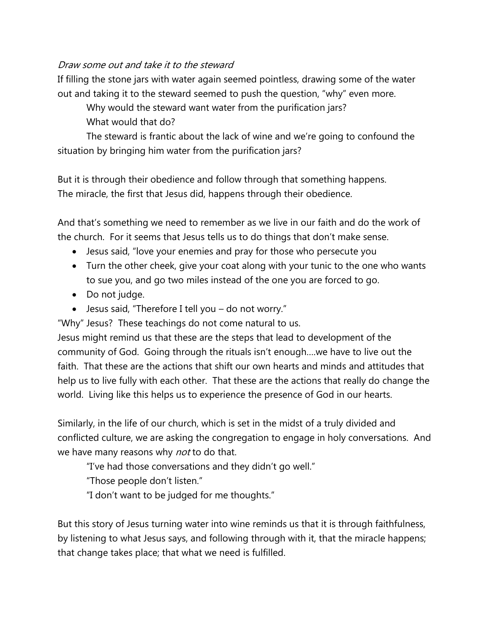## Draw some out and take it to the steward

If filling the stone jars with water again seemed pointless, drawing some of the water out and taking it to the steward seemed to push the question, "why" even more.

Why would the steward want water from the purification jars?

What would that do?

The steward is frantic about the lack of wine and we're going to confound the situation by bringing him water from the purification jars?

But it is through their obedience and follow through that something happens. The miracle, the first that Jesus did, happens through their obedience.

And that's something we need to remember as we live in our faith and do the work of the church. For it seems that Jesus tells us to do things that don't make sense.

- Jesus said, "love your enemies and pray for those who persecute you
- Turn the other cheek, give your coat along with your tunic to the one who wants to sue you, and go two miles instead of the one you are forced to go.
- Do not judge.
- Jesus said, "Therefore I tell you do not worry."

"Why" Jesus? These teachings do not come natural to us.

Jesus might remind us that these are the steps that lead to development of the community of God. Going through the rituals isn't enough….we have to live out the faith. That these are the actions that shift our own hearts and minds and attitudes that help us to live fully with each other. That these are the actions that really do change the world. Living like this helps us to experience the presence of God in our hearts.

Similarly, in the life of our church, which is set in the midst of a truly divided and conflicted culture, we are asking the congregation to engage in holy conversations. And we have many reasons why *not* to do that.

"I've had those conversations and they didn't go well."

"Those people don't listen."

"I don't want to be judged for me thoughts."

But this story of Jesus turning water into wine reminds us that it is through faithfulness, by listening to what Jesus says, and following through with it, that the miracle happens; that change takes place; that what we need is fulfilled.